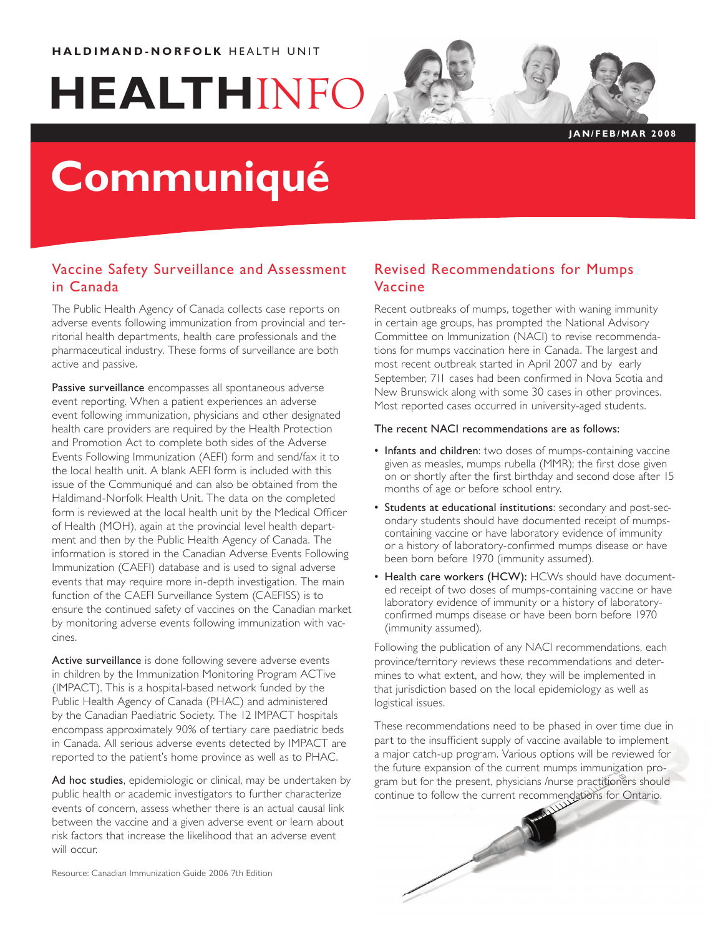# **HEALTH**INFO

#### **J A N / F E B / M A R 2 0 0 8**

## **Communiqué**

### Vaccine Safety Surveillance and Assessment in Canada

The Public Health Agency of Canada collects case reports on adverse events following immunization from provincial and territorial health departments, health care professionals and the pharmaceutical industry. These forms of surveillance are both active and passive.

Passive surveillance encompasses all spontaneous adverse event reporting. When a patient experiences an adverse event following immunization, physicians and other designated health care providers are required by the Health Protection and Promotion Act to complete both sides of the Adverse Events Following Immunization (AEFI) form and send/fax it to the local health unit. A blank AEFI form is included with this issue of the Communiqué and can also be obtained from the Haldimand-Norfolk Health Unit. The data on the completed form is reviewed at the local health unit by the Medical Officer of Health (MOH), again at the provincial level health department and then by the Public Health Agency of Canada. The information is stored in the Canadian Adverse Events Following Immunization (CAEFI) database and is used to signal adverse events that may require more in-depth investigation. The main function of the CAEFI Surveillance System (CAEFISS) is to ensure the continued safety of vaccines on the Canadian market by monitoring adverse events following immunization with vaccines.

Active surveillance is done following severe adverse events in children by the Immunization Monitoring Program ACTive (IMPACT). This is a hospital-based network funded by the Public Health Agency of Canada (PHAC) and administered by the Canadian Paediatric Society. The 12 IMPACT hospitals encompass approximately 90% of tertiary care paediatric beds in Canada. All serious adverse events detected by IMPACT are reported to the patient's home province as well as to PHAC.

Ad hoc studies, epidemiologic or clinical, may be undertaken by public health or academic investigators to further characterize events of concern, assess whether there is an actual causal link between the vaccine and a given adverse event or learn about risk factors that increase the likelihood that an adverse event will occur.

Resource: Canadian Immunization Guide 2006 7th Edition

## Revised Recommendations for Mumps Vaccine

Recent outbreaks of mumps, together with waning immunity in certain age groups, has prompted the National Advisory Committee on Immunization (NACI) to revise recommendations for mumps vaccination here in Canada. The largest and most recent outbreak started in April 2007 and by early September, 711 cases had been confirmed in Nova Scotia and New Brunswick along with some 30 cases in other provinces. Most reported cases occurred in university-aged students.

#### The recent NACI recommendations are as follows:

- Infants and children: two doses of mumps-containing vaccine given as measles, mumps rubella (MMR); the first dose given on or shortly after the first birthday and second dose after 15 months of age or before school entry.
- Students at educational institutions: secondary and post-secondary students should have documented receipt of mumpscontaining vaccine or have laboratory evidence of immunity or a history of laboratory-confirmed mumps disease or have been born before 1970 (immunity assumed).
- Health care workers (HCW): HCWs should have documented receipt of two doses of mumps-containing vaccine or have laboratory evidence of immunity or a history of laboratoryconfirmed mumps disease or have been born before 1970 (immunity assumed).

Following the publication of any NACI recommendations, each province/territory reviews these recommendations and determines to what extent, and how, they will be implemented in that jurisdiction based on the local epidemiology as well as logistical issues.

These recommendations need to be phased in over time due in part to the insufficient supply of vaccine available to implement a major catch-up program. Various options will be reviewed for the future expansion of the current mumps immunization program but for the present, physicians /nurse practitioners should continue to follow the current recommendations for Ontario.